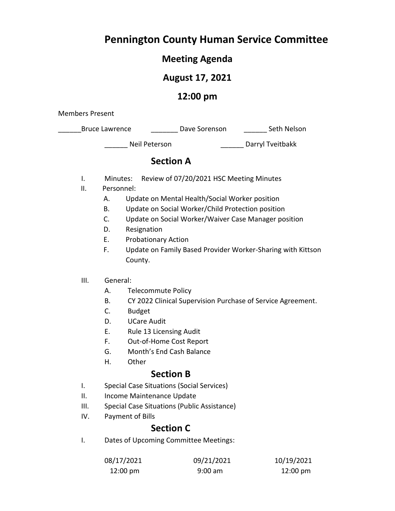## **Pennington County Human Service Committee**

### **Meeting Agenda**

### **August 17, 2021**

### **12:00 pm**

Members Present

| <b>Bruce Lawrence</b> | Dave Sorenson | Seth Nelson |
|-----------------------|---------------|-------------|
|-----------------------|---------------|-------------|

\_\_\_\_\_\_ Neil Peterson \_\_\_\_\_\_ Darryl Tveitbakk

### **Section A**

- I. Minutes: Review of 07/20/2021 HSC Meeting Minutes
- II. Personnel:
	- A. Update on Mental Health/Social Worker position
	- B. Update on Social Worker/Child Protection position
	- C. Update on Social Worker/Waiver Case Manager position
	- D. Resignation
	- E. Probationary Action
	- F. Update on Family Based Provider Worker-Sharing with Kittson County.
- III. General:
	- A. Telecommute Policy
	- B. CY 2022 Clinical Supervision Purchase of Service Agreement.
	- C. Budget
	- D. UCare Audit
	- E. Rule 13 Licensing Audit
	- F. Out-of-Home Cost Report
	- G. Month's End Cash Balance
	- H. Other

### **Section B**

- I. Special Case Situations (Social Services)
- II. Income Maintenance Update
- III. Special Case Situations (Public Assistance)
- IV. Payment of Bills

### **Section C**

I. Dates of Upcoming Committee Meetings:

| 08/17/2021         | 09/21/2021 | 10/19/2021 |  |  |
|--------------------|------------|------------|--|--|
| $12:00 \text{ pm}$ | $9:00$ am  | 12:00 pm   |  |  |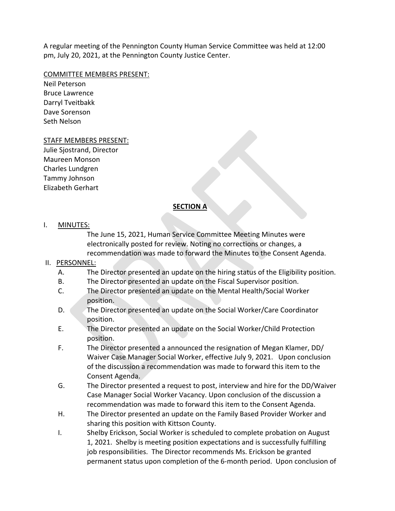A regular meeting of the Pennington County Human Service Committee was held at 12:00 pm, July 20, 2021, at the Pennington County Justice Center.

#### COMMITTEE MEMBERS PRESENT:

Neil Peterson Bruce Lawrence Darryl Tveitbakk Dave Sorenson Seth Nelson

#### STAFF MEMBERS PRESENT:

Julie Sjostrand, Director Maureen Monson Charles Lundgren Tammy Johnson Elizabeth Gerhart

#### **SECTION A**

#### I. MINUTES:

The June 15, 2021, Human Service Committee Meeting Minutes were electronically posted for review. Noting no corrections or changes, a recommendation was made to forward the Minutes to the Consent Agenda.

#### II. PERSONNEL:

- A. The Director presented an update on the hiring status of the Eligibility position.
- B. The Director presented an update on the Fiscal Supervisor position.
- C. The Director presented an update on the Mental Health/Social Worker position.
- D. The Director presented an update on the Social Worker/Care Coordinator position.
- E. The Director presented an update on the Social Worker/Child Protection position.
- F. The Director presented a announced the resignation of Megan Klamer, DD/ Waiver Case Manager Social Worker, effective July 9, 2021. Upon conclusion of the discussion a recommendation was made to forward this item to the Consent Agenda.
- G. The Director presented a request to post, interview and hire for the DD/Waiver Case Manager Social Worker Vacancy. Upon conclusion of the discussion a recommendation was made to forward this item to the Consent Agenda.
- H. The Director presented an update on the Family Based Provider Worker and sharing this position with Kittson County.
- I. Shelby Erickson, Social Worker is scheduled to complete probation on August 1, 2021. Shelby is meeting position expectations and is successfully fulfilling job responsibilities. The Director recommends Ms. Erickson be granted permanent status upon completion of the 6‐month period. Upon conclusion of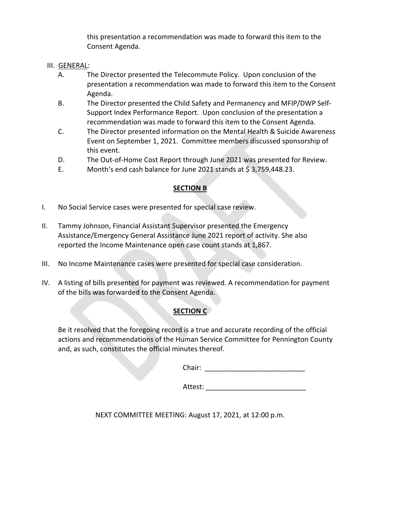this presentation a recommendation was made to forward this item to the Consent Agenda.

#### III. GENERAL:

- A. The Director presented the Telecommute Policy. Upon conclusion of the presentation a recommendation was made to forward this item to the Consent Agenda.
- B. The Director presented the Child Safety and Permanency and MFIP/DWP Self‐ Support Index Performance Report. Upon conclusion of the presentation a recommendation was made to forward this item to the Consent Agenda.
- C. The Director presented information on the Mental Health & Suicide Awareness Event on September 1, 2021. Committee members discussed sponsorship of this event.
- D. The Out-of-Home Cost Report through June 2021 was presented for Review.
- E. Month's end cash balance for June 2021 stands at  $\frac{2}{3}$ , 759, 448.23.

#### **SECTION B**

- I. No Social Service cases were presented for special case review.
- II. Tammy Johnson, Financial Assistant Supervisor presented the Emergency Assistance/Emergency General Assistance June 2021 report of activity. She also reported the Income Maintenance open case count stands at 1,867.
- III. No Income Maintenance cases were presented for special case consideration.
- IV. A listing of bills presented for payment was reviewed. A recommendation for payment of the bills was forwarded to the Consent Agenda.

#### **SECTION C**

 Be it resolved that the foregoing record is a true and accurate recording of the official actions and recommendations of the Human Service Committee for Pennington County and, as such, constitutes the official minutes thereof.

Chair: **Chair: Chair: Chair: Chair: Chair: Chair: Chair: Chair: Chair: Chair: Chair: Chair: Chair: Chair: Chair: Chair: Chair: Chair: Chair: Chair: Chair: Chair: Chair: Chair:** 

Attest:

NEXT COMMITTEE MEETING: August 17, 2021, at 12:00 p.m.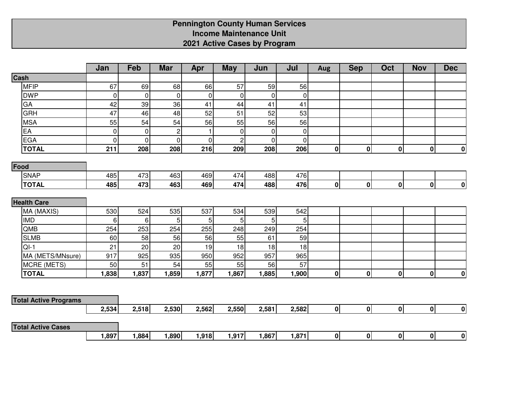# **Pennington County Human Services Income Maintenance Unit2021 Active Cases by Program**

|                              | Jan            | Feb         | <b>Mar</b>     | Apr            | <b>May</b>     | Jun      | Jul            | <b>Aug</b>   | <b>Sep</b>  | Oct          | <b>Nov</b>   | <b>Dec</b>       |
|------------------------------|----------------|-------------|----------------|----------------|----------------|----------|----------------|--------------|-------------|--------------|--------------|------------------|
| Cash                         |                |             |                |                |                |          |                |              |             |              |              |                  |
| <b>MFIP</b>                  | 67             | 69          | 68             | 66             | 57             | 59       | 56             |              |             |              |              |                  |
| <b>DWP</b>                   | $\mathbf 0$    | $\mathbf 0$ | $\mathbf 0$    | $\mathbf 0$    | $\mathbf 0$    | $\Omega$ | $\overline{0}$ |              |             |              |              |                  |
| GA                           | 42             | 39          | 36             | 41             | 44             | 41       | 41             |              |             |              |              |                  |
| GRH                          | 47             | 46          | 48             | 52             | 51             | 52       | 53             |              |             |              |              |                  |
| <b>MSA</b>                   | 55             | 54          | 54             | 56             | 55             | 56       | 56             |              |             |              |              |                  |
| EA                           | 0              | 0           | $\overline{c}$ | $\overline{1}$ | $\mathbf 0$    | 0        | $\overline{0}$ |              |             |              |              |                  |
| <b>EGA</b>                   | $\overline{0}$ | $\mathbf 0$ | $\mathbf 0$    | $\pmb{0}$      | $\overline{c}$ | $\Omega$ | $\overline{0}$ |              |             |              |              |                  |
| <b>TOTAL</b>                 | 211            | 208         | 208            | 216            | 209            | 208      | 206            | 0            | $\pmb{0}$   | 0            | $\pmb{0}$    | $\boldsymbol{0}$ |
| Food                         |                |             |                |                |                |          |                |              |             |              |              |                  |
| <b>SNAP</b>                  | 485            | 473         | 463            | 469            | 474            | 488      | 476            |              |             |              |              |                  |
| <b>TOTAL</b>                 | 485            | 473         | 463            | 469            | 474            | 488      | 476            | 0            | $\pmb{0}$   | $\mathbf{0}$ | $\mathbf 0$  | $\boldsymbol{0}$ |
|                              |                |             |                |                |                |          |                |              |             |              |              |                  |
| <b>Health Care</b>           |                |             |                |                |                |          |                |              |             |              |              |                  |
| MA (MAXIS)                   | 530            | 524         | 535            | 537            | 534            | 539      | 542            |              |             |              |              |                  |
| <b>IMD</b>                   | 6              | 6           | 5              | 5              | 5              | 5        | 5              |              |             |              |              |                  |
| QMB                          | 254            | 253         | 254            | 255            | 248            | 249      | 254            |              |             |              |              |                  |
| <b>SLMB</b>                  | 60             | 58          | 56             | 56             | 55             | 61       | 59             |              |             |              |              |                  |
| $QI-1$                       | 21             | 20          | 20             | 19             | 18             | 18       | 18             |              |             |              |              |                  |
| MA (METS/MNsure)             | 917            | 925         | 935            | 950            | 952            | 957      | 965            |              |             |              |              |                  |
| MCRE (METS)                  | 50             | 51          | 54             | 55             | 55             | 56       | 57             |              |             |              |              |                  |
| <b>TOTAL</b>                 | 1,838          | 1,837       | 1,859          | 1,877          | 1,867          | 1,885    | 1,900          | $\mathbf{0}$ | $\mathbf 0$ | $\mathbf{0}$ | $\mathbf 0$  | 0                |
|                              |                |             |                |                |                |          |                |              |             |              |              |                  |
| <b>Total Active Programs</b> |                |             |                |                |                |          |                |              |             |              |              |                  |
|                              | 2,534          | 2,518       | 2,530          | 2,562          | 2,550          | 2,581    | 2,582          | 0            | 0           | 0            | 0            | 0                |
| <b>Total Active Cases</b>    |                |             |                |                |                |          |                |              |             |              |              |                  |
|                              | 1,897          | 1,884       | 1,890          | 1,918          | 1,917          | 1,867    | 1,871          | 0            | $\pmb{0}$   | $\mathbf{0}$ | $\mathbf{0}$ | 0                |
|                              |                |             |                |                |                |          |                |              |             |              |              |                  |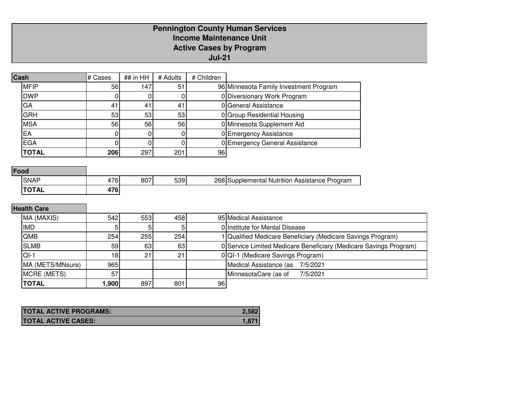### **Pennington County Human ServicesIncome Maintenance Unit Active Cases by ProgramJul-21**

| ## in HH<br># Children<br># Cases<br>Cash<br># Adults<br><b>MFIP</b><br>147<br>51<br>56<br>0 Diversionary Work Program<br><b>DWP</b><br>U<br>0 General Assistance<br>GA<br>41<br>41<br>41<br><b>GRH</b><br>0 Group Residential Housing<br>53 <sub>l</sub><br>53<br>53<br><b>MSA</b><br>56<br>0 Minnesota Supplement Aid<br>56<br>56 |    |                                        |
|-------------------------------------------------------------------------------------------------------------------------------------------------------------------------------------------------------------------------------------------------------------------------------------------------------------------------------------|----|----------------------------------------|
|                                                                                                                                                                                                                                                                                                                                     |    |                                        |
|                                                                                                                                                                                                                                                                                                                                     |    | 96 Minnesota Family Investment Program |
|                                                                                                                                                                                                                                                                                                                                     |    |                                        |
|                                                                                                                                                                                                                                                                                                                                     |    |                                        |
|                                                                                                                                                                                                                                                                                                                                     |    |                                        |
|                                                                                                                                                                                                                                                                                                                                     |    |                                        |
|                                                                                                                                                                                                                                                                                                                                     | EA | 0 Emergency Assistance                 |
| <b>EGA</b><br>0 Emergency General Assistance                                                                                                                                                                                                                                                                                        |    |                                        |
| <b>TOTAL</b><br>206<br>297<br>201<br>96                                                                                                                                                                                                                                                                                             |    |                                        |

### **Food**

| <b>SNAF</b>                     | 76              | 807 | 539 | 268 | Program<br><b>Nutrition Assistance</b><br>Supplemental |
|---------------------------------|-----------------|-----|-----|-----|--------------------------------------------------------|
| $\mathsf{TOT}^{\prime}$<br>I AL | 170<br>u<br>. . |     |     |     |                                                        |

## **Health Care**

| MA (MAXIS)       | 542              | 553 | 458 |      | 95 Medical Assistance                                             |
|------------------|------------------|-----|-----|------|-------------------------------------------------------------------|
| <b>IMD</b>       |                  |     |     |      | 0 Institute for Mental Disease                                    |
| <b>QMB</b>       | 254 <sub>1</sub> | 255 | 254 |      | Qualified Medicare Beneficiary (Medicare Savings Program)         |
| <b>SLMB</b>      | 59               | 63  | 63  |      | 0 Service Limited Medicare Beneficiary (Medicare Savings Program) |
| $QI-1$           | 18               | 21  | O1  |      | 0 QI-1 (Medicare Savings Program)                                 |
| MA (METS/MNsure) | 965              |     |     |      | Medical Assistance (as 7/5/2021                                   |
| MCRE (METS)      | 57               |     |     |      | MinnesotaCare (as of<br>7/5/2021                                  |
| <b>TOTAL</b>     | ,900             | 897 | 801 | 96 I |                                                                   |

| <b>TOTAL ACTIVE PROGRAMS:</b> |       |
|-------------------------------|-------|
| <b>TOTAL ACTIVE CASES:</b>    | 1.871 |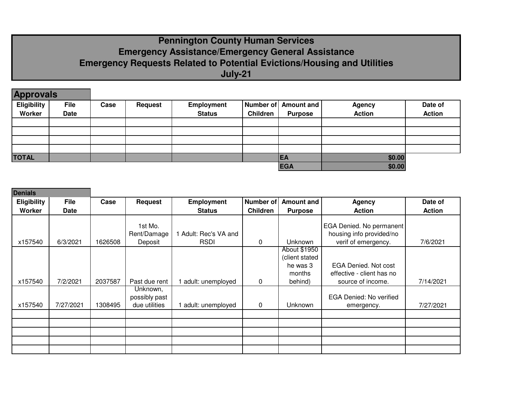### **Pennington County Human Services Emergency Assistance/Emergency General Assistance Emergency Requests Related to Potential Evictions/Housing and UtilitiesJuly-21**

| <b>Approvals</b>   |             |      |                |               |                 |                      |               |               |
|--------------------|-------------|------|----------------|---------------|-----------------|----------------------|---------------|---------------|
| <b>Eligibility</b> | <b>File</b> | Case | <b>Request</b> | Employment    |                 | Number of Amount and | <b>Agency</b> | Date of       |
| Worker             | <b>Date</b> |      |                | <b>Status</b> | <b>Children</b> | <b>Purpose</b>       | <b>Action</b> | <b>Action</b> |
|                    |             |      |                |               |                 |                      |               |               |
|                    |             |      |                |               |                 |                      |               |               |
|                    |             |      |                |               |                 |                      |               |               |
|                    |             |      |                |               |                 |                      |               |               |
| <b>TOTAL</b>       |             |      |                |               |                 | <b>EA</b>            | \$0.00        |               |
|                    |             |      |                |               |                 | <b>EGA</b>           | \$0.00        |               |

| <b>Denials</b>     |             |         |                                            |                     |                  |                                      |                                                      |               |
|--------------------|-------------|---------|--------------------------------------------|---------------------|------------------|--------------------------------------|------------------------------------------------------|---------------|
| <b>Eligibility</b> | <b>File</b> | Case    | <b>Request</b>                             | <b>Employment</b>   | <b>Number of</b> | <b>Amount and</b>                    | <b>Agency</b>                                        | Date of       |
| Worker             | Date        |         |                                            | <b>Status</b>       | <b>Children</b>  | <b>Purpose</b>                       | <b>Action</b>                                        | <b>Action</b> |
|                    |             |         | 1st Mo.<br>Rent/Damage                     | Adult: Rec's VA and |                  | <b>Unknown</b>                       | EGA Denied. No permanent<br>housing info provided/no |               |
| x157540            | 6/3/2021    | 1626508 | Deposit                                    | <b>RSDI</b>         | $\mathbf 0$      | About \$1950                         | verif of emergency.                                  | 7/6/2021      |
|                    |             |         |                                            |                     |                  | (client stated<br>he was 3<br>months | EGA Denied. Not cost<br>effective - client has no    |               |
| x157540            | 7/2/2021    | 2037587 | Past due rent                              | adult: unemployed   | 0                | behind)                              | source of income.                                    | 7/14/2021     |
| x157540            | 7/27/2021   | 1308495 | Unknown,<br>possibly past<br>due utilities | adult: unemployed   | $\mathbf 0$      | Unknown                              | EGA Denied: No verified<br>emergency.                | 7/27/2021     |
|                    |             |         |                                            |                     |                  |                                      |                                                      |               |
|                    |             |         |                                            |                     |                  |                                      |                                                      |               |
|                    |             |         |                                            |                     |                  |                                      |                                                      |               |
|                    |             |         |                                            |                     |                  |                                      |                                                      |               |
|                    |             |         |                                            |                     |                  |                                      |                                                      |               |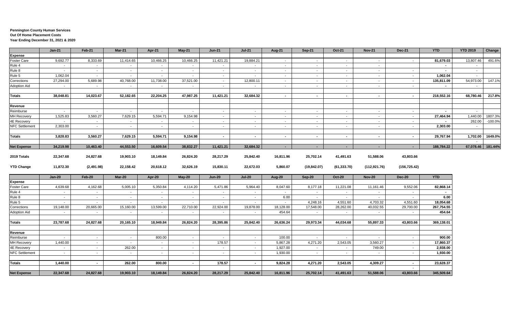#### **Pennington County Human Services Out Of Home Placement Costs Year Ending December 31, 2021 & 2020**

|                       | $Jan-21$  | Feb-21        | <b>Mar-21</b> | Apr-21    | May-21    | <b>Jun-21</b> | <b>Jul-21</b>  | Aug-21     | Sep-21         | Oct-21                   | <b>Nov-21</b> | <b>Dec-21</b> | <b>YTD</b> | <b>YTD 2019</b> | Change    |
|-----------------------|-----------|---------------|---------------|-----------|-----------|---------------|----------------|------------|----------------|--------------------------|---------------|---------------|------------|-----------------|-----------|
| <b>Expense</b>        |           |               |               |           |           |               |                |            |                |                          |               |               |            |                 |           |
| Foster Care           | 9,692.77  | 8,333.69      | 11,414.65     | 10,466.25 | 10,466.25 | 11,421.21     | 19,884.21      | $\sim$     | $\sim$         | $\sim$                   | $\sim$        | $\sim$        | 81,679.03  | 13,807.46       | 491.6%    |
| Rule 4                | $\sim$    | $\sim$        | $\sim$        | $\sim$    | $\sim$    | $\sim$        | $\sim$         | $\sim$ $-$ | $\sim$         | $\sim$                   | $\sim$        |               | $\sim$     | $\sim$          |           |
| Rule 8                | $\sim$    | $\sim$        | $\sim$        | $\sim$    | $\sim$    | $\sim$        | $\sim$         | $\sim$     | $\sim$         | $\sim$                   | $\sim$        | $\sim$        | $\sim$     | $\sim$          |           |
| Rule 5                | 1,062.04  | $\sim$        | $\sim$        | $\sim$    | $\sim$    | $\sim$        | $\sim$         | $\sim$ $-$ | $\sim$         | $\sim$                   | $\sim$        | $\sim$        | 1,062.04   | $\sim$          |           |
| Corrections           | 27,294.00 | 5,689.98      | 40,768.00     | 11,738.00 | 37,521.00 | $\sim$        | 12,800.11      | $\sim$ $-$ | $\sim$         | $\sim$                   | $\sim$        | $\sim$        | 135,811.09 | 54,973.00       | 147.1%    |
| Adoption Aid          | $\sim$    | $\sim$        | $\sim$        | $\sim$    | $\sim$    | $\sim$        | $\sim$         | $\sim$     | $\sim$         | $\sim$                   | $\sim$        | $\sim$        | $\sim$     | $\sim$          |           |
| <b>Totals</b>         | 38,048.81 | 14,023.67     | 52,182.65     | 22,204.25 | 47,987.25 | 11,421.21     | 32,684.32      | $\sim$     | $\blacksquare$ | $\sim$                   | $\sim$        | $\sim$        | 218,552.16 | 68,780.46       | 217.8%    |
|                       |           |               |               |           |           |               |                |            |                |                          |               |               |            |                 |           |
| Revenue               |           |               |               |           |           |               |                |            |                |                          |               |               |            |                 |           |
| Reimburse             | $\sim$    | $\sim$        | $\sim$        | $\sim$    | $\sim$    | $\sim$        | $\sim$         | $\sim$     | $\sim$         | $\sim$                   | $\sim$        | $\sim$        |            | $\sim$          |           |
| MH Recovery           | 1,525.83  | 3,560.27      | 7,629.15      | 5,594.71  | 9,154.98  | $\sim$        | $\sim$         | $\sim$     | $\sim$         | $\sim$                   | $\sim$        | $\sim$        | 27,464.94  | 1,440.00        | 1807.3%   |
| <b>4E Recovery</b>    | $\sim$    | $\sim$        | $\sim$        | $\sim$    | $\sim$    | $\sim$        | $\sim$         | $\sim$ $-$ | $\sim$         | $\sim$                   | $\sim$        | $\sim$        |            | 262.00          | $-100.0%$ |
| NFC Settlement        | 2,303.00  | $\sim$        | $\sim$        | $\sim$    | $\sim$    | $\sim$        | $\sim$         | $\sim$ $-$ | $\sim$         | $\sim$                   | $\sim$        | $\sim$        | 2,303.00   | $\sim$          |           |
| <b>Totals</b>         | 3,828.83  | 3,560.27      | 7,629.15      | 5,594.71  | 9,154.98  | $\sim$        | $\sim$         | $\sim$     | $\sim$         | $\sim$                   | $\sim$        | $\sim$        | 29,767.94  | 1,702.00        | 1649.0%   |
|                       |           |               |               |           |           |               |                |            |                |                          |               |               |            | $\sim$          |           |
| <b>Net Expense</b>    | 34,219.98 | 10,463.40     | 44,553.50     | 16,609.54 | 38,832.27 | 11,421.21     | 32,684.32      | $\sim$     | $\blacksquare$ | $\blacksquare$           | $\sim$        | $\sim$        | 188,784.22 | 67,078.46       | 181.44%   |
| 2019 Totals           | 22,347.68 | 24,827.68     | 19,903.10     | 18,149.84 | 26,824.20 | 28,217.29     | 25,842.40      | 16,811.96  | 25,702.14      | 41,491.63                | 51,588.06     | 43,803.66     |            |                 |           |
| <b>YTD Change</b>     | 11,872.30 | (2,491.98)    | 22,158.42     | 20,618.12 | 32,626.19 | 15,830.11     | 22,672.03      | 5,860.07   | (19, 842.07)   | (61, 333.70)             | (112, 921.76) | (156, 725.42) |            |                 |           |
|                       | $Jan-20$  | <b>Feb-20</b> | <b>Mar-20</b> | Apr-20    | $May-20$  | <b>Jun-20</b> | <b>Jul-20</b>  | Aug-20     | Sep-20         | <b>Oct-20</b>            | <b>Nov-20</b> | <b>Dec-20</b> | <b>YTD</b> |                 |           |
| <b>Expense</b>        |           |               |               |           |           |               |                |            |                |                          |               |               |            |                 |           |
| Foster Care           | 4,639.68  | 4,162.68      | 5,005.10      | 5,350.84  | 4,114.20  | 5,471.86      | 5,964.40       | 8,047.60   | 8,177.18       | 11,221.08                | 11,161.46     | 9,552.06      | 82,868.14  |                 |           |
| Rule 4                | $\sim$    | $\sim$        | $\sim$        | $\sim$    | $\sim$    | $\sim$        | $\sim$         | $\sim$     | $\sim$         | $\sim$                   | $\sim$        | $\sim$        | $\sim$     |                 |           |
| Rule 8                | $\sim$    | $\sim$        | $\sim$        | $\sim$    | $\sim$    | $\sim$        | $\sim$         | 6.00       | $\sim$         | $\sim$                   | $\sim$        | $\sim$        | 6.00       |                 |           |
| Rule 5                | $\sim$    | $\sim$        | $\sim$        | $\sim$    | $\sim$    | $\sim$        | $\blacksquare$ | $\sim$     | 4,248.16       | 4,551.60                 | 4,703.32      | 4,551.60      | 18,054.68  |                 |           |
| Corrections           | 19,148.00 | 20,665.00     | 15,160.00     | 13,599.00 | 22,710.00 | 22,924.00     | 19,878.00      | 18,128.00  | 17,548.00      | 28,262.00                | 40,032.55     | 29,700.00     | 267,754.55 |                 |           |
| <b>Adoption Aid</b>   | $\sim$    | $\sim$        | $\sim$        | $\sim$    | $\sim$    | $\sim$        | $\sim$         | 454.64     | $\sim$         | $\sim$                   | $\sim$        | $\sim$        | 454.64     |                 |           |
| <b>Totals</b>         | 23,787.68 | 24,827.68     | 20,165.10     | 18,949.84 | 26,824.20 | 28,395.86     | 25,842.40      | 26,636.24  | 29,973.34      | 44,034.68                | 55,897.33     | 43,803.66     | 369,138.01 |                 |           |
|                       |           |               |               |           |           |               |                |            |                |                          |               |               |            |                 |           |
| Revenue               |           |               |               |           |           |               |                |            |                |                          |               |               |            |                 |           |
| Reimburse             | $\sim$    | $\sim$        | $\sim$        | 800.00    | $\sim$    | $\sim$        | $\sim$         | 100.00     | $\sim$         | $\sim$                   | $\sim$        | $\sim$        | 900.00     |                 |           |
| MH Recovery           | 1,440.00  | $\sim$        | $\sim$        | $\sim$    | $\sim$    | 178.57        | $\sim$         | 5,867.28   | 4,271.20       | 2,543.05                 | 3,560.27      | $\sim$        | 17,860.37  |                 |           |
| <b>4E Recovery</b>    | $\sim$    | $\sim$        | 262.00        | $\sim$    | $\sim$    | $\sim$        | $\sim$         | 1,927.00   | $\sim$         | $\overline{\phantom{a}}$ | 749.00        | $\sim$        | 2,938.00   |                 |           |
| <b>NFC</b> Settlement | $\sim$    | $\sim$        | $\sim$        | $\sim$    | $\sim$    | $\sim$        | $\sim$         | 1,930.00   | $\sim$         | $\sim$                   | $\sim$        | $\sim$        | 1,930.00   |                 |           |
| <b>Totals</b>         | 1,440.00  | $\sim$        | 262.00        | 800.00    | $\sim$    | 178.57        | $\sim$         | 9,824.28   | 4,271.20       | 2,543.05                 | 4,309.27      | $\sim$        | 23,628.37  |                 |           |
|                       |           |               |               |           |           |               |                |            |                |                          |               | $\sim$        |            |                 |           |
| <b>Net Expense</b>    | 22,347.68 | 24,827.68     | 19,903.10     | 18,149.84 | 26,824.20 | 28,217.29     | 25,842.40      | 16,811.96  | 25,702.14      | 41,491.63                | 51,588.06     | 43,803.66     | 345,509.64 |                 |           |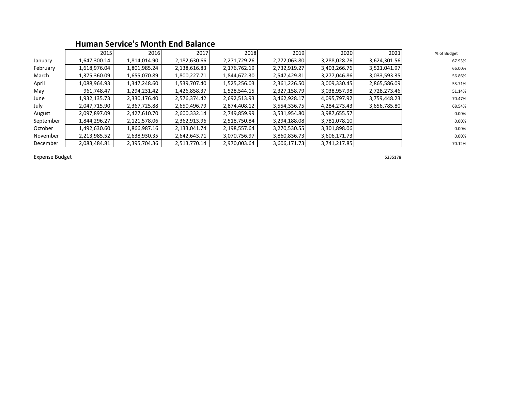|           | 2015         | 2016         | 2017         | 2018         | 2019         | 2020         | 2021         | % of Budget |
|-----------|--------------|--------------|--------------|--------------|--------------|--------------|--------------|-------------|
| January   | 1,647,300.14 | 1,814,014.90 | 2,182,630.66 | 2,271,729.26 | 2,772,063.80 | 3,288,028.76 | 3,624,301.56 | 67.93%      |
| February  | 1,618,976.04 | 1,801,985.24 | 2,138,616.83 | 2,176,762.19 | 2,732,919.27 | 3,403,266.76 | 3,521,041.97 | 66.00%      |
| March     | 1,375,360.09 | 1,655,070.89 | 1,800,227.71 | 1,844,672.30 | 2,547,429.81 | 3,277,046.86 | 3,033,593.35 | 56.86%      |
| April     | 1,088,964.93 | 1,347,248.60 | 1,539,707.40 | 1,525,256.03 | 2,361,226.50 | 3,009,330.45 | 2,865,586.09 | 53.71%      |
| May       | 961,748.47   | 1,294,231.42 | 1,426,858.37 | 1,528,544.15 | 2,327,158.79 | 3,038,957.98 | 2,728,273.46 | 51.14%      |
| June      | 1,932,135.73 | 2,330,176.40 | 2,576,374.42 | 2,692,513.93 | 3,462,928.17 | 4,095,797.92 | 3,759,448.23 | 70.47%      |
| July      | 2,047,715.90 | 2,367,725.88 | 2,650,496.79 | 2,874,408.12 | 3,554,336.75 | 4,284,273.43 | 3,656,785.80 | 68.54%      |
| August    | 2,097,897.09 | 2,427,610.70 | 2,600,332.14 | 2,749,859.99 | 3,531,954.80 | 3,987,655.57 |              | 0.00%       |
| September | 1,844,296.27 | 2,121,578.06 | 2,362,913.96 | 2,518,750.84 | 3,294,188.08 | 3,781,078.10 |              | 0.00%       |
| October   | 1,492,630.60 | 1,866,987.16 | 2,133,041.74 | 2,198,557.64 | 3,270,530.55 | 3,301,898.06 |              | 0.00%       |
| November  | 2,213,985.52 | 2,638,930.35 | 2,642,643.71 | 3,070,756.97 | 3,860,836.73 | 3,606,171.73 |              | 0.00%       |
| December  | 2,083,484.81 | 2,395,704.36 | 2,513,770.14 | 2,970,003.64 | 3,606,171.73 | 3,741,217.85 |              | 70.12%      |

### **Human Service's Month End Balance**

Expense Budget 5335178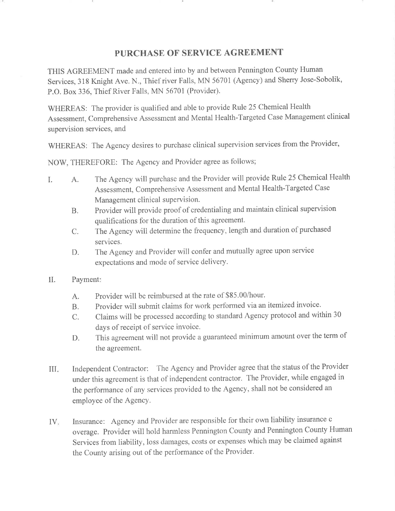#### PURCHASE OF SERVICE AGREEMENT

THIS AGREEMENT made and entered into by and between Pennington County Human Services, 318 Knight Ave. N., Thief river Falls, MN 56701 (Agency) and Sherry Jose-Sobolik, P.O. Box 336, Thief River Falls, MN 56701 (Provider).

WHEREAS: The provider is qualified and able to provide Rule 25 Chemical Health Assessment, Comprehensive Assessment and Mental Health-Targeted Case Management clinical supervision services, and

WHEREAS: The Agency desires to purchase clinical supervision services from the Provider,

NOW, THEREFORE: The Agency and Provider agree as follows;

- The Agency will purchase and the Provider will provide Rule 25 Chemical Health I.  $A_{\cdot}$ Assessment, Comprehensive Assessment and Mental Health-Targeted Case Management clinical supervision.
	- Provider will provide proof of credentialing and maintain clinical supervision **B.** qualifications for the duration of this agreement.
	- The Agency will determine the frequency, length and duration of purchased  $\mathcal{C}$ . services.
	- The Agency and Provider will confer and mutually agree upon service D. expectations and mode of service delivery.
- Payment:  $\prod$ .
	- Provider will be reimbursed at the rate of \$85.00/hour. A.
	- Provider will submit claims for work performed via an itemized invoice.  $B<sub>r</sub>$
	- Claims will be processed according to standard Agency protocol and within 30  $C_{\cdot}$ days of receipt of service invoice.
	- This agreement will not provide a guaranteed minimum amount over the term of D. the agreement.
- Independent Contractor: The Agency and Provider agree that the status of the Provider  $\coprod \varphi$ under this agreement is that of independent contractor. The Provider, while engaged in the performance of any services provided to the Agency, shall not be considered an employee of the Agency.
- Insurance: Agency and Provider are responsible for their own liability insurance c  $IV_{\ast}$ overage. Provider will hold harmless Pennington County and Pennington County Human Services from liability, loss damages, costs or expenses which may be claimed against the County arising out of the performance of the Provider.